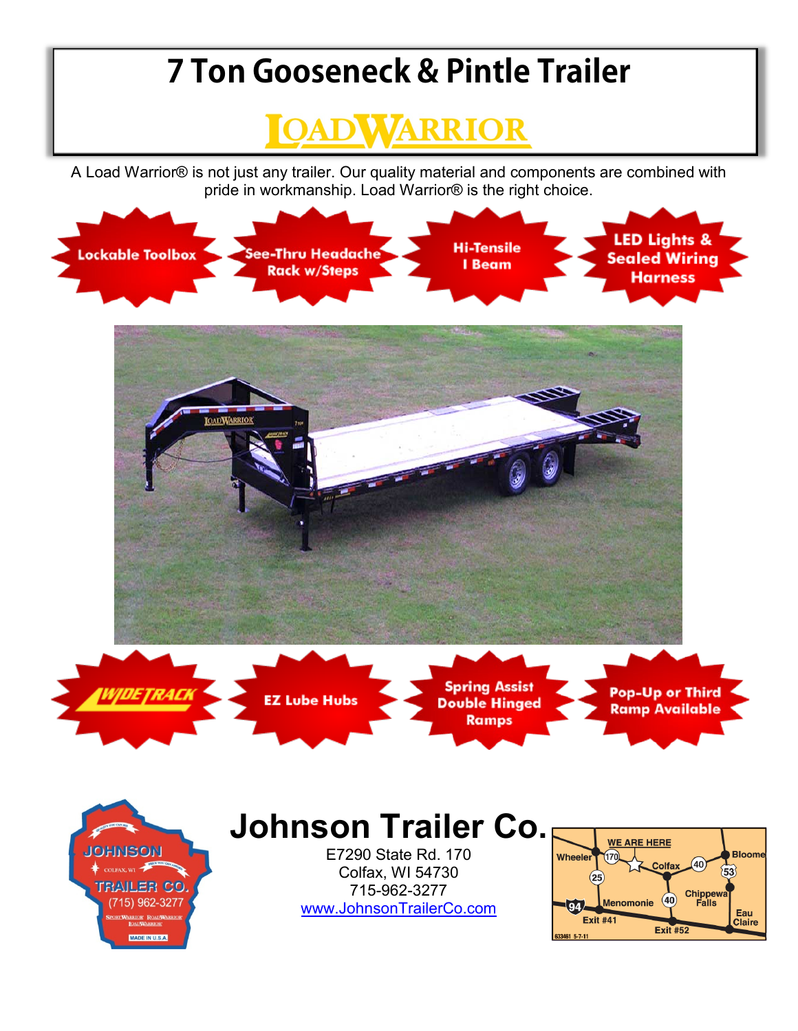## **7 Ton Gooseneck & Pintle Trailer**



A Load Warrior® is not just any trailer. Our quality material and components are combined with pride in workmanship. Load Warrior® is the right choice.